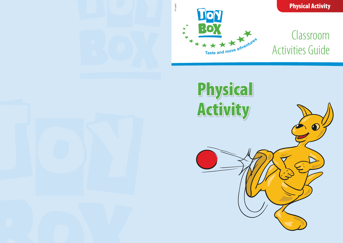# Physical Activity



# Classroom **Activities Guide**

Physical Activity



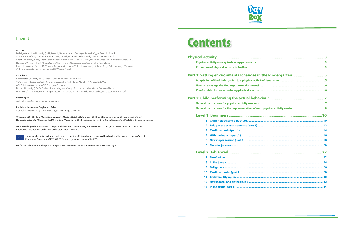# **Physical activity......................................................................................................3**

Physical activity – a way to develop personality..... **Promotion of physical activity in ToyBox .......................................................................................................3**

## **Part 1: Setting environmental changes in**

**Adaptation of the kindergarten to a physical activity-fragment How to rearrange the kindergarten environment? Comfortable clothes when being physically active .......................................................................................6**

# **Part 2: Child performing the actual behaviour.**

**General instructions for physical activity sessions. General instructions for the implementation of each physical activity** 

- **1 Chiffon cloths and parachute.....**
- **2** A day at the construction site (part 1)...
- **3** Cardboard rolls (part 1) ..............................
- **4 With the Indians (part 1)..............................................................................................................16**
- **5 Newspaper session (part 1).........................................................................................................18**
- **6 Material journey...........................................................................................................................20**

- **7 Barefoot land................................................................................................................................22**
- **8 In the jungle..................................................................................................................................24**
- **9 Ball games.....................................................................................................................................26**
- **10 Cardboard roles (part 2) ..............................................................................................................28**
- **11 Children's Olympics......................................................................................................................30**
- **12 Newspapers and clothes pegs................**
- **13** In the circus (part 1) .....



| n the kindergarten 5 |
|----------------------|
|                      |
|                      |
|                      |
|                      |
|                      |
|                      |
|                      |
|                      |
|                      |
|                      |
|                      |
|                      |
|                      |
|                      |
|                      |
|                      |
|                      |
|                      |
|                      |
|                      |
|                      |
|                      |
|                      |

### **Level 1: Beginners.........................................................................................10**

### **Level 2: Advanced.........................................................................................22**



### Authors:

Ludwig-Maximilians-University (LMU), Munich, Germany: Kristin Duvinage, Sabine Ibrügger, Berthold Koletzko State Institute of Early Childhood Research (IFP), Munich, Germany: Andreas Wildgruber, Susanne Kreichauf Ghent University (UGent), Ghent, Belgium: Marieke De Craemer, Ellen De Decker, Lea Maes, Greet Cardon, Ilse De Bourdeaudhuij Harokopio University (HUA), Athens, Greece: Yannis Manios, Odysseas Androutsos, Eftychia Apostolidou Medical University of Varna (MUV), Varna, Bulgaria: Mina Lateva, Violeta Iotova, Natalya Usheva, Sonya Galcheva, Vanya Marinova Children's Memorial Health Institute (CMHI), Warsaw, Poland

### Contributors:

Roehampton University (RoU), London, United Kingdom: Leigh Gibson VU University Medical Center (VUMC), Amsterdam, The Netherlands: Mai Chin A Paw, Saskia te Velde AOK-Publishing Company (AOK), Remagen, Germany Durham University (UDUR), Durham, United Kingdom: Carolyn Summerbell, Helen Moore, Catherine Nixon University of Zaragoza (UniZar), Zaragoza, Spain: Luis A. Moreno Aznar, Theodora Mouratidou, Maria Isabel Mesana Graffe

### Photographs:

AOK-Publishing Company, Remagen, Germany

### Publisher/ Illustrations, Graphic and Sales:

AOK-Publishing Company, Lilienthalstr. 1-3, 53424 Remagen, Germany

© Copyright 2012 Ludwig-Maximilians-University, Munich; State Institute of Early Childhood Research, Munich; Ghent University, Ghent; Harokopio University, Athens; Medical University of Varna, Varna; Children's Memorial Health Institute, Warsaw; AOK-Publishing Company, Remagen

We acknowledge the adoption of concepts and ideas from previous programmes such as ENERGY, POP, Cretan Health and Nutrition Intervention programme, and of text and material from TigerKids.



The research leading to these results and the creation of this material has received funding from the European Union's Seventh Framework Programme (FP7/2007-2013) under grant agreement n° 245200.

For further information and reproduction purposes please visit the Toybox website: www.toybox-study.eu

# Fundamental Contents